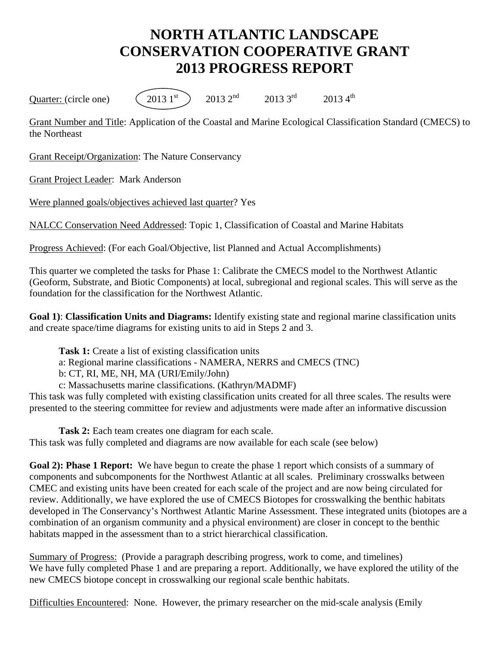## **NORTH ATLANTIC LANDSCAPE CONSERVATION COOPERATIVE GRANT 2013 PROGRESS REPORT**

Quarter: (circle one)  $(2013 \, 1^{st})$   $2013 \, 2^{nd}$   $2013 \, 3^{rd}$   $2013 \, 4^{th}$ 

Grant Number and Title: Application of the Coastal and Marine Ecological Classification Standard (CMECS) to the Northeast

Grant Receipt/Organization: The Nature Conservancy

Grant Project Leader: Mark Anderson

Were planned goals/objectives achieved last quarter? Yes

NALCC Conservation Need Addressed: Topic 1, Classification of Coastal and Marine Habitats

Progress Achieved: (For each Goal/Objective, list Planned and Actual Accomplishments)

This quarter we completed the tasks for Phase 1: Calibrate the CMECS model to the Northwest Atlantic (Geoform, Substrate, and Biotic Components) at local, subregional and regional scales. This will serve as the foundation for the classification for the Northwest Atlantic.

**Goal 1)**: **Classification Units and Diagrams:** Identify existing state and regional marine classification units and create space/time diagrams for existing units to aid in Steps 2 and 3.

**Task 1:** Create a list of existing classification units

a: Regional marine classifications - NAMERA, NERRS and CMECS (TNC)

b: CT, RI, ME, NH, MA (URI/Emily/John)

c: Massachusetts marine classifications. (Kathryn/MADMF)

This task was fully completed with existing classification units created for all three scales. The results were presented to the steering committee for review and adjustments were made after an informative discussion

**Task 2:** Each team creates one diagram for each scale. This task was fully completed and diagrams are now available for each scale (see below)

**Goal 2): Phase 1 Report:** We have begun to create the phase 1 report which consists of a summary of components and subcomponents for the Northwest Atlantic at all scales. Preliminary crosswalks between CMEC and existing units have been created for each scale of the project and are now being circulated for review. Additionally, we have explored the use of CMECS Biotopes for crosswalking the benthic habitats developed in The Conservancy's Northwest Atlantic Marine Assessment. These integrated units (biotopes are a combination of an organism community and a physical environment) are closer in concept to the benthic habitats mapped in the assessment than to a strict hierarchical classification.

Summary of Progress: (Provide a paragraph describing progress, work to come, and timelines) We have fully completed Phase 1 and are preparing a report. Additionally, we have explored the utility of the new CMECS biotope concept in crosswalking our regional scale benthic habitats.

Difficulties Encountered: None. However, the primary researcher on the mid-scale analysis (Emily